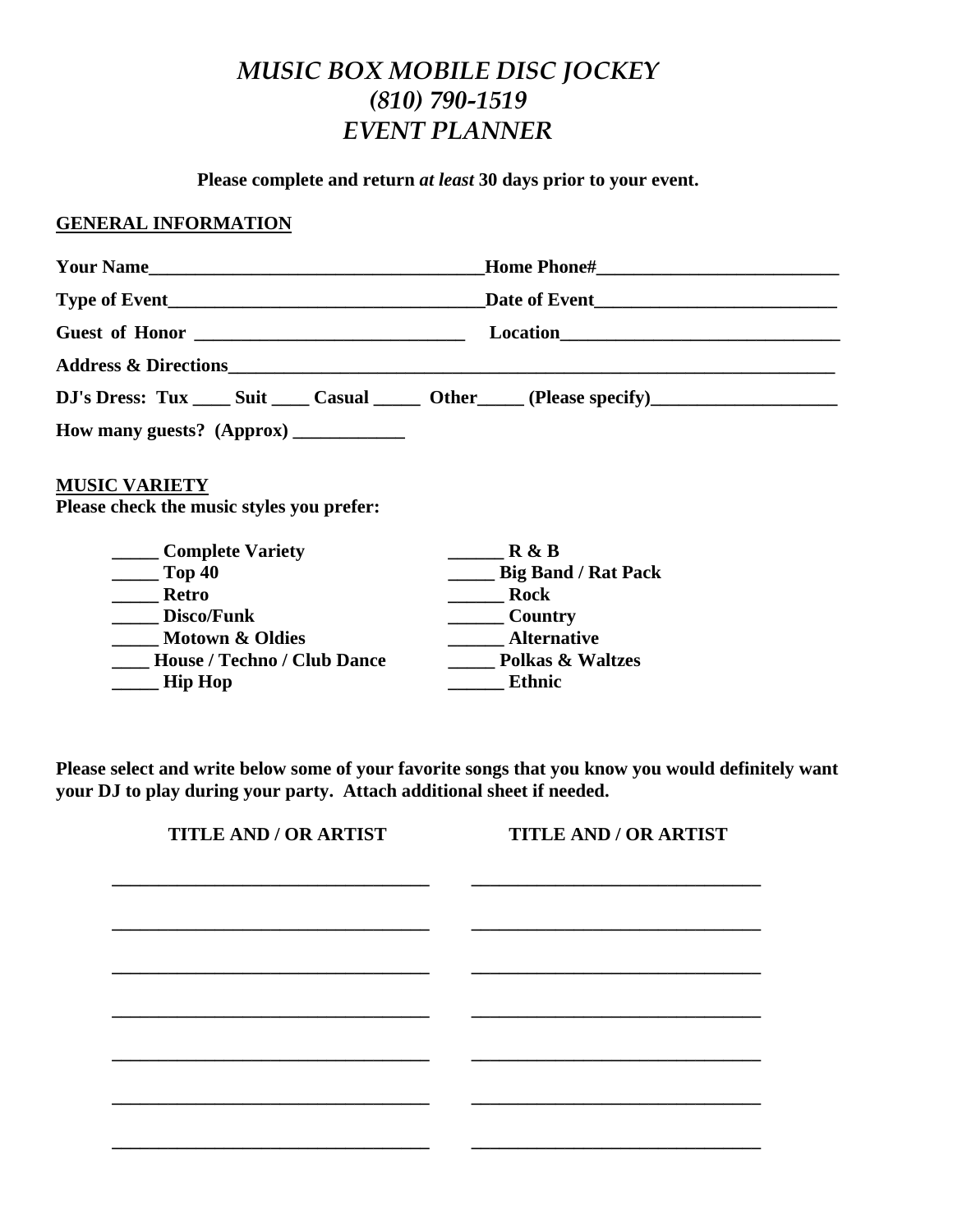## *MUSIC BOX MOBILE DISC JOCKEY (810) 790-1519 EVENT PLANNER*

**Please complete and return** *at least* **30 days prior to your event.** 

## **GENERAL INFORMATION**

|                                                                               | Your Name<br><b>Home Phone#______________________________</b> |  |
|-------------------------------------------------------------------------------|---------------------------------------------------------------|--|
|                                                                               |                                                               |  |
|                                                                               |                                                               |  |
|                                                                               |                                                               |  |
| DJ's Dress: Tux _____ Suit _____ Casual _______ Other ______ (Please specify) |                                                               |  |
| How many guests? (Approx) ____________                                        |                                                               |  |
|                                                                               |                                                               |  |
| <b>MUSIC VARIETY</b>                                                          |                                                               |  |
| Please check the music styles you prefer:                                     |                                                               |  |
| Complete Variety                                                              | R & B                                                         |  |
| $\sim$ Top 40                                                                 | <b>________ Big Band / Rat Pack</b>                           |  |
| <b>Example 1</b> Retro                                                        | <b>Rock</b>                                                   |  |
| Disco/Funk                                                                    | Country                                                       |  |
| Motown & Oldies                                                               | <b>Alternative</b>                                            |  |
| <b>House / Techno / Club Dance</b>                                            | <b>Polkas &amp; Waltzes</b>                                   |  |

**Please select and write below some of your favorite songs that you know you would definitely want your DJ to play during your party. Attach additional sheet if needed.** 

| <b>TITLE AND / OR ARTIST</b> | <b>TITLE AND / OR ARTIST</b> |
|------------------------------|------------------------------|
|                              |                              |
|                              |                              |
|                              |                              |
|                              |                              |
|                              |                              |
|                              |                              |
|                              |                              |